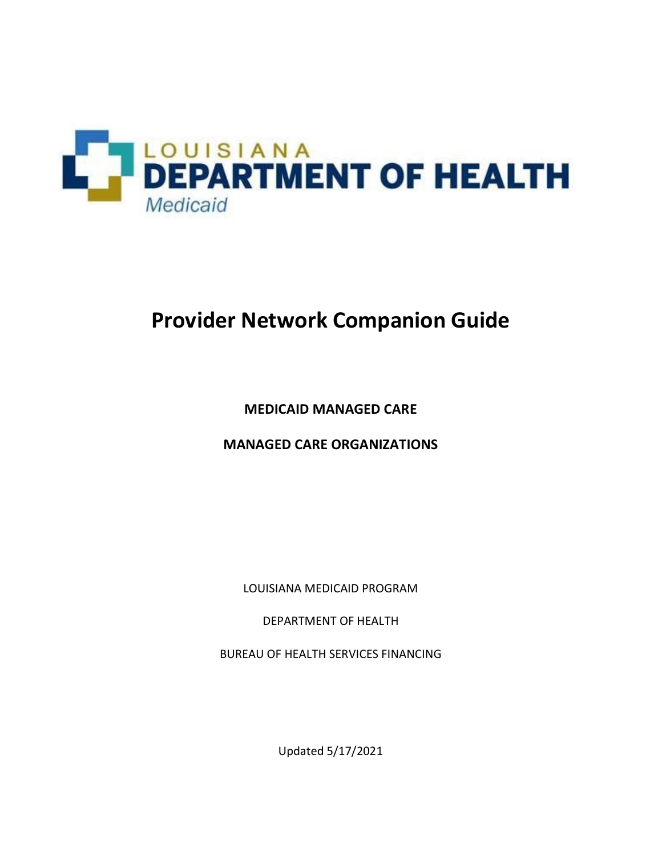

# **Provider Network Companion Guide**

**MEDICAID MANAGED CARE** 

**MANAGED CARE ORGANIZATIONS** 

LOUISIANA MEDICAID PROGRAM

DEPARTMENT OF HEALTH

BUREAU OF HEALTH SERVICES FINANCING

Updated 5/17/2021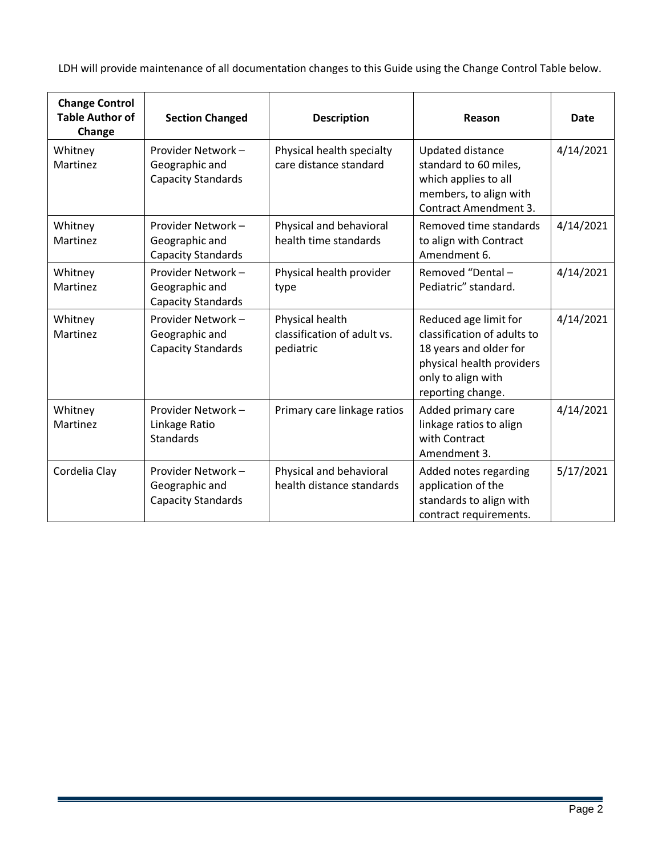LDH will provide maintenance of all documentation changes to this Guide using the Change Control Table below.

| <b>Change Control</b><br><b>Table Author of</b><br>Change | <b>Section Changed</b>                                            | <b>Description</b>                                          | Reason                                                                                                                                                 | <b>Date</b> |
|-----------------------------------------------------------|-------------------------------------------------------------------|-------------------------------------------------------------|--------------------------------------------------------------------------------------------------------------------------------------------------------|-------------|
| Whitney<br>Martinez                                       | Provider Network -<br>Geographic and<br><b>Capacity Standards</b> | Physical health specialty<br>care distance standard         | <b>Updated distance</b><br>standard to 60 miles,<br>which applies to all<br>members, to align with<br><b>Contract Amendment 3.</b>                     | 4/14/2021   |
| Whitney<br>Martinez                                       | Provider Network -<br>Geographic and<br><b>Capacity Standards</b> | Physical and behavioral<br>health time standards            | Removed time standards<br>to align with Contract<br>Amendment 6.                                                                                       | 4/14/2021   |
| Whitney<br>Martinez                                       | Provider Network -<br>Geographic and<br><b>Capacity Standards</b> | Physical health provider<br>type                            | Removed "Dental-<br>Pediatric" standard.                                                                                                               | 4/14/2021   |
| Whitney<br>Martinez                                       | Provider Network -<br>Geographic and<br><b>Capacity Standards</b> | Physical health<br>classification of adult vs.<br>pediatric | Reduced age limit for<br>classification of adults to<br>18 years and older for<br>physical health providers<br>only to align with<br>reporting change. | 4/14/2021   |
| Whitney<br>Martinez                                       | Provider Network -<br>Linkage Ratio<br>Standards                  | Primary care linkage ratios                                 | Added primary care<br>linkage ratios to align<br>with Contract<br>Amendment 3.                                                                         | 4/14/2021   |
| Cordelia Clay                                             | Provider Network -<br>Geographic and<br><b>Capacity Standards</b> | Physical and behavioral<br>health distance standards        | Added notes regarding<br>application of the<br>standards to align with<br>contract requirements.                                                       | 5/17/2021   |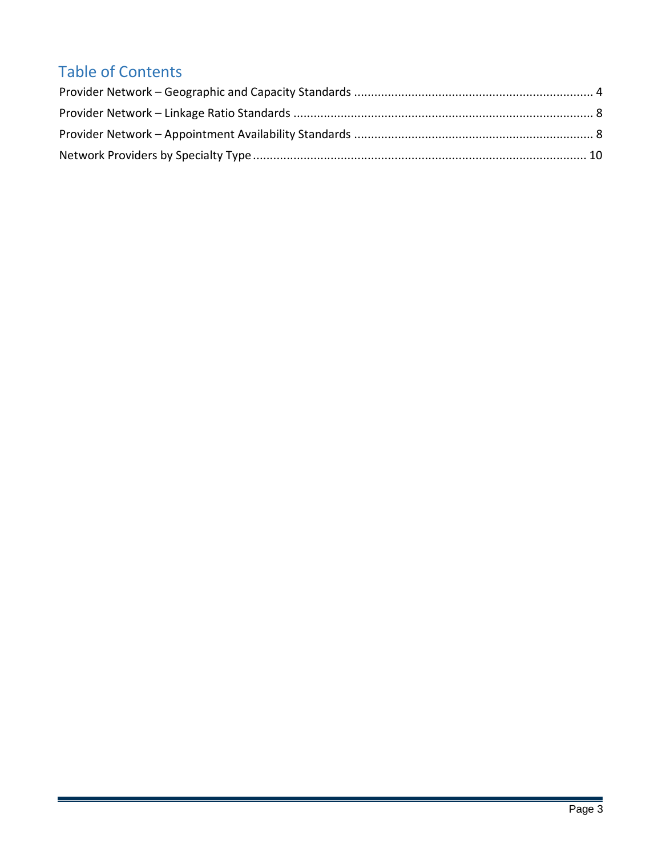## Table of Contents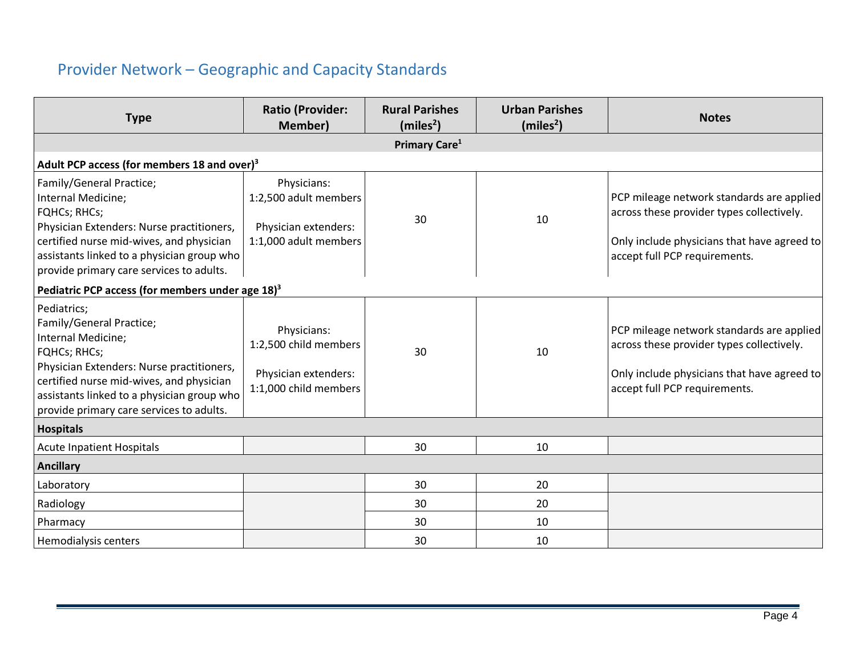### Provider Network – Geographic and Capacity Standards

<span id="page-3-0"></span>

| <b>Type</b>                                                                                                                                                                                                                                                             | <b>Ratio (Provider:</b><br><b>Member)</b>                                             | <b>Rural Parishes</b><br>(miles <sup>2</sup> ) | <b>Urban Parishes</b><br>(miles <sup>2</sup> ) | <b>Notes</b>                                                                                                                                                           |  |  |
|-------------------------------------------------------------------------------------------------------------------------------------------------------------------------------------------------------------------------------------------------------------------------|---------------------------------------------------------------------------------------|------------------------------------------------|------------------------------------------------|------------------------------------------------------------------------------------------------------------------------------------------------------------------------|--|--|
|                                                                                                                                                                                                                                                                         |                                                                                       | Primary Care <sup>1</sup>                      |                                                |                                                                                                                                                                        |  |  |
| Adult PCP access (for members 18 and over) <sup>3</sup>                                                                                                                                                                                                                 |                                                                                       |                                                |                                                |                                                                                                                                                                        |  |  |
| Family/General Practice;<br>Internal Medicine;<br>FQHCs; RHCs;<br>Physician Extenders: Nurse practitioners,<br>certified nurse mid-wives, and physician<br>assistants linked to a physician group who<br>provide primary care services to adults.                       | Physicians:<br>1:2,500 adult members<br>Physician extenders:<br>1:1,000 adult members | 30                                             | 10                                             | PCP mileage network standards are applied<br>across these provider types collectively.<br>Only include physicians that have agreed to<br>accept full PCP requirements. |  |  |
| Pediatric PCP access (for members under age 18) <sup>3</sup>                                                                                                                                                                                                            |                                                                                       |                                                |                                                |                                                                                                                                                                        |  |  |
| Pediatrics;<br>Family/General Practice;<br>Internal Medicine;<br><b>FQHCs; RHCs;</b><br>Physician Extenders: Nurse practitioners,<br>certified nurse mid-wives, and physician<br>assistants linked to a physician group who<br>provide primary care services to adults. | Physicians:<br>1:2,500 child members<br>Physician extenders:<br>1:1,000 child members | 30                                             | 10                                             | PCP mileage network standards are applied<br>across these provider types collectively.<br>Only include physicians that have agreed to<br>accept full PCP requirements. |  |  |
| <b>Hospitals</b>                                                                                                                                                                                                                                                        |                                                                                       |                                                |                                                |                                                                                                                                                                        |  |  |
| <b>Acute Inpatient Hospitals</b>                                                                                                                                                                                                                                        |                                                                                       | 30                                             | 10                                             |                                                                                                                                                                        |  |  |
| <b>Ancillary</b>                                                                                                                                                                                                                                                        |                                                                                       |                                                |                                                |                                                                                                                                                                        |  |  |
| Laboratory                                                                                                                                                                                                                                                              |                                                                                       | 30                                             | 20                                             |                                                                                                                                                                        |  |  |
| Radiology                                                                                                                                                                                                                                                               |                                                                                       | 30                                             | 20                                             |                                                                                                                                                                        |  |  |
| Pharmacy                                                                                                                                                                                                                                                                |                                                                                       | 30                                             | 10                                             |                                                                                                                                                                        |  |  |
| Hemodialysis centers                                                                                                                                                                                                                                                    |                                                                                       | 30                                             | 10                                             |                                                                                                                                                                        |  |  |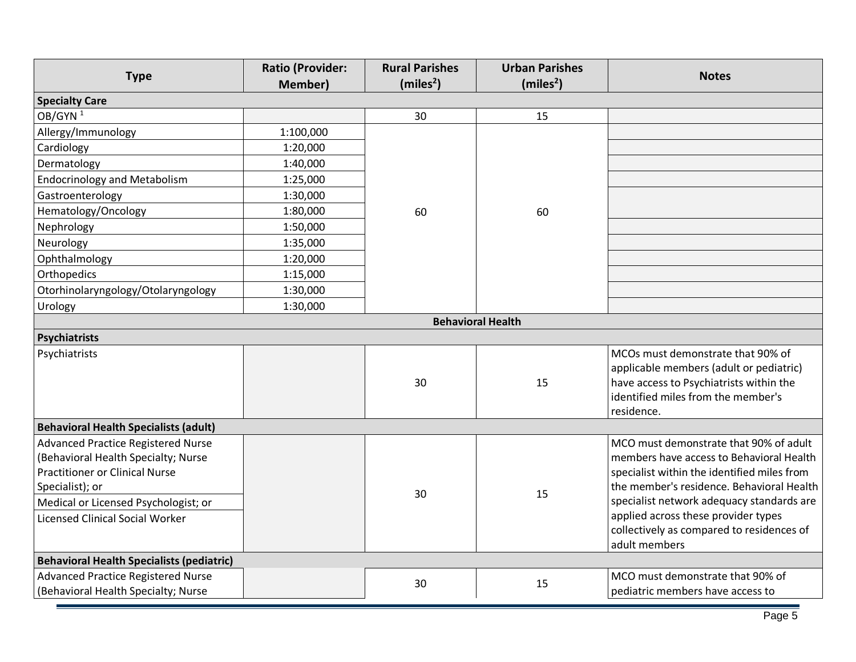| <b>Type</b>                                                                                                                                                                                                                    | <b>Ratio (Provider:</b><br><b>Member)</b> | <b>Rural Parishes</b><br>(miles <sup>2</sup> ) | <b>Urban Parishes</b><br>(miles <sup>2</sup> ) | <b>Notes</b>                                                                                                                                                                                                                                                                                                                     |
|--------------------------------------------------------------------------------------------------------------------------------------------------------------------------------------------------------------------------------|-------------------------------------------|------------------------------------------------|------------------------------------------------|----------------------------------------------------------------------------------------------------------------------------------------------------------------------------------------------------------------------------------------------------------------------------------------------------------------------------------|
| <b>Specialty Care</b>                                                                                                                                                                                                          |                                           |                                                |                                                |                                                                                                                                                                                                                                                                                                                                  |
| OB/GYN <sup>1</sup>                                                                                                                                                                                                            |                                           | 30                                             | 15                                             |                                                                                                                                                                                                                                                                                                                                  |
| Allergy/Immunology                                                                                                                                                                                                             | 1:100,000                                 |                                                |                                                |                                                                                                                                                                                                                                                                                                                                  |
| Cardiology                                                                                                                                                                                                                     | 1:20,000                                  |                                                |                                                |                                                                                                                                                                                                                                                                                                                                  |
| Dermatology                                                                                                                                                                                                                    | 1:40,000                                  |                                                |                                                |                                                                                                                                                                                                                                                                                                                                  |
| <b>Endocrinology and Metabolism</b>                                                                                                                                                                                            | 1:25,000                                  |                                                |                                                |                                                                                                                                                                                                                                                                                                                                  |
| Gastroenterology                                                                                                                                                                                                               | 1:30,000                                  |                                                |                                                |                                                                                                                                                                                                                                                                                                                                  |
| Hematology/Oncology                                                                                                                                                                                                            | 1:80,000                                  | 60                                             | 60                                             |                                                                                                                                                                                                                                                                                                                                  |
| Nephrology                                                                                                                                                                                                                     | 1:50,000                                  |                                                |                                                |                                                                                                                                                                                                                                                                                                                                  |
| Neurology                                                                                                                                                                                                                      | 1:35,000                                  |                                                |                                                |                                                                                                                                                                                                                                                                                                                                  |
| Ophthalmology                                                                                                                                                                                                                  | 1:20,000                                  |                                                |                                                |                                                                                                                                                                                                                                                                                                                                  |
| Orthopedics                                                                                                                                                                                                                    | 1:15,000                                  |                                                |                                                |                                                                                                                                                                                                                                                                                                                                  |
| Otorhinolaryngology/Otolaryngology                                                                                                                                                                                             | 1:30,000                                  |                                                |                                                |                                                                                                                                                                                                                                                                                                                                  |
| Urology                                                                                                                                                                                                                        | 1:30,000                                  |                                                |                                                |                                                                                                                                                                                                                                                                                                                                  |
|                                                                                                                                                                                                                                |                                           |                                                | <b>Behavioral Health</b>                       |                                                                                                                                                                                                                                                                                                                                  |
| <b>Psychiatrists</b>                                                                                                                                                                                                           |                                           |                                                |                                                |                                                                                                                                                                                                                                                                                                                                  |
| Psychiatrists                                                                                                                                                                                                                  |                                           | 30                                             | 15                                             | MCOs must demonstrate that 90% of<br>applicable members (adult or pediatric)<br>have access to Psychiatrists within the<br>identified miles from the member's<br>residence.                                                                                                                                                      |
| <b>Behavioral Health Specialists (adult)</b>                                                                                                                                                                                   |                                           |                                                |                                                |                                                                                                                                                                                                                                                                                                                                  |
| <b>Advanced Practice Registered Nurse</b><br>(Behavioral Health Specialty; Nurse<br><b>Practitioner or Clinical Nurse</b><br>Specialist); or<br>Medical or Licensed Psychologist; or<br><b>Licensed Clinical Social Worker</b> |                                           | 30                                             | 15                                             | MCO must demonstrate that 90% of adult<br>members have access to Behavioral Health<br>specialist within the identified miles from<br>the member's residence. Behavioral Health<br>specialist network adequacy standards are<br>applied across these provider types<br>collectively as compared to residences of<br>adult members |
| <b>Behavioral Health Specialists (pediatric)</b>                                                                                                                                                                               |                                           |                                                |                                                |                                                                                                                                                                                                                                                                                                                                  |
| <b>Advanced Practice Registered Nurse</b><br>(Behavioral Health Specialty; Nurse                                                                                                                                               |                                           | 30                                             | 15                                             | MCO must demonstrate that 90% of<br>pediatric members have access to                                                                                                                                                                                                                                                             |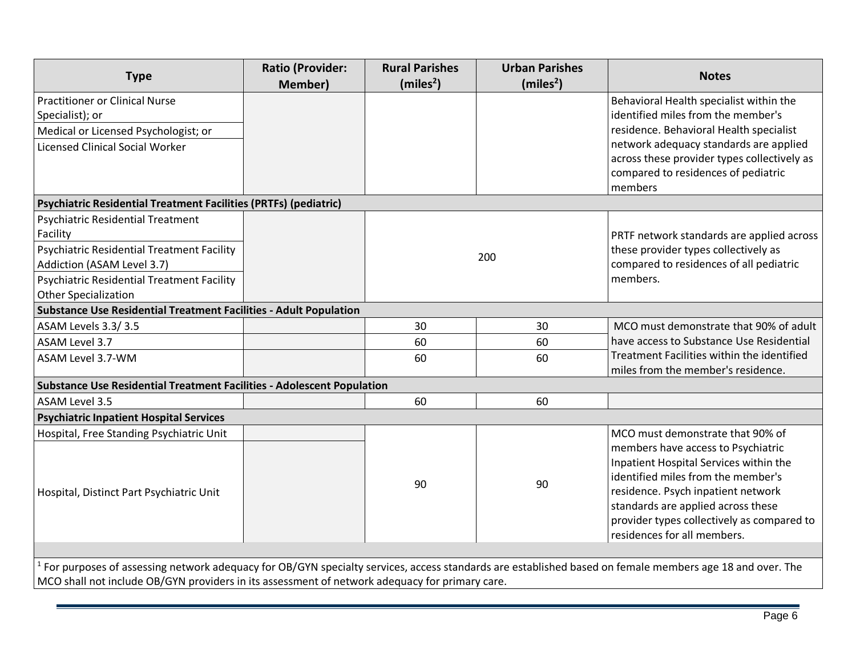| <b>Type</b>                                                                                                                                             | <b>Ratio (Provider:</b><br><b>Member)</b> | <b>Rural Parishes</b><br>(miles <sup>2</sup> ) | <b>Urban Parishes</b><br>(miles <sup>2</sup> ) | <b>Notes</b>                                                                                                                            |
|---------------------------------------------------------------------------------------------------------------------------------------------------------|-------------------------------------------|------------------------------------------------|------------------------------------------------|-----------------------------------------------------------------------------------------------------------------------------------------|
| <b>Practitioner or Clinical Nurse</b>                                                                                                                   |                                           |                                                |                                                | Behavioral Health specialist within the                                                                                                 |
| Specialist); or                                                                                                                                         |                                           |                                                |                                                | identified miles from the member's                                                                                                      |
| Medical or Licensed Psychologist; or                                                                                                                    |                                           |                                                |                                                | residence. Behavioral Health specialist                                                                                                 |
| <b>Licensed Clinical Social Worker</b>                                                                                                                  |                                           |                                                |                                                | network adequacy standards are applied<br>across these provider types collectively as<br>compared to residences of pediatric<br>members |
| Psychiatric Residential Treatment Facilities (PRTFs) (pediatric)                                                                                        |                                           |                                                |                                                |                                                                                                                                         |
| <b>Psychiatric Residential Treatment</b>                                                                                                                |                                           |                                                |                                                |                                                                                                                                         |
| Facility                                                                                                                                                |                                           |                                                |                                                | PRTF network standards are applied across                                                                                               |
| <b>Psychiatric Residential Treatment Facility</b>                                                                                                       |                                           |                                                | 200                                            | these provider types collectively as                                                                                                    |
| Addiction (ASAM Level 3.7)                                                                                                                              |                                           |                                                |                                                | compared to residences of all pediatric                                                                                                 |
| <b>Psychiatric Residential Treatment Facility</b>                                                                                                       |                                           |                                                |                                                | members.                                                                                                                                |
| <b>Other Specialization</b>                                                                                                                             |                                           |                                                |                                                |                                                                                                                                         |
| <b>Substance Use Residential Treatment Facilities - Adult Population</b>                                                                                |                                           |                                                |                                                |                                                                                                                                         |
| ASAM Levels 3.3/3.5                                                                                                                                     |                                           | 30                                             | 30                                             | MCO must demonstrate that 90% of adult                                                                                                  |
| ASAM Level 3.7                                                                                                                                          |                                           | 60                                             | 60                                             | have access to Substance Use Residential                                                                                                |
| ASAM Level 3.7-WM                                                                                                                                       |                                           | 60<br>60                                       |                                                | Treatment Facilities within the identified<br>miles from the member's residence.                                                        |
| <b>Substance Use Residential Treatment Facilities - Adolescent Population</b>                                                                           |                                           |                                                |                                                |                                                                                                                                         |
| <b>ASAM Level 3.5</b>                                                                                                                                   |                                           | 60                                             | 60                                             |                                                                                                                                         |
| <b>Psychiatric Inpatient Hospital Services</b>                                                                                                          |                                           |                                                |                                                |                                                                                                                                         |
| Hospital, Free Standing Psychiatric Unit                                                                                                                |                                           |                                                |                                                | MCO must demonstrate that 90% of                                                                                                        |
|                                                                                                                                                         |                                           |                                                |                                                | members have access to Psychiatric                                                                                                      |
|                                                                                                                                                         |                                           |                                                |                                                | Inpatient Hospital Services within the                                                                                                  |
|                                                                                                                                                         |                                           | 90                                             | 90                                             | identified miles from the member's                                                                                                      |
| Hospital, Distinct Part Psychiatric Unit                                                                                                                |                                           |                                                |                                                | residence. Psych inpatient network                                                                                                      |
|                                                                                                                                                         |                                           |                                                |                                                | standards are applied across these                                                                                                      |
|                                                                                                                                                         |                                           |                                                |                                                | provider types collectively as compared to                                                                                              |
|                                                                                                                                                         |                                           |                                                |                                                | residences for all members.                                                                                                             |
| For purposes of assessing network adequacy for OB/GYN specialty services, access standards are established based on female members age 18 and over. The |                                           |                                                |                                                |                                                                                                                                         |
| 100 shall not include 00 (CVN) nuovidam in its assessment of notwork adoptive with muins were                                                           |                                           |                                                |                                                |                                                                                                                                         |

MCO shall not include OB/GYN providers in its assessment of network adequacy for primary care.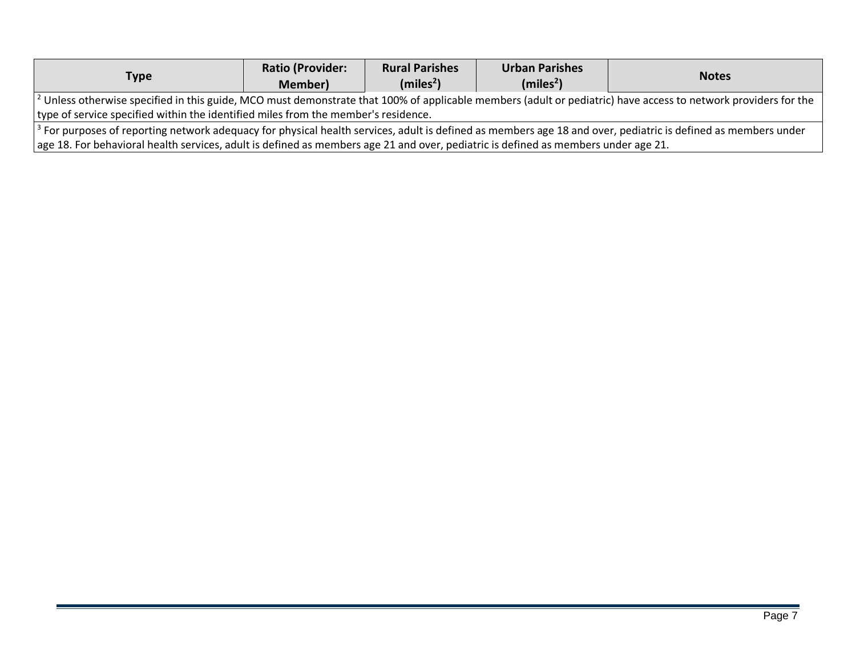| Type                                                                                                                                                                     | <b>Ratio (Provider:</b><br>Member) | <b>Rural Parishes</b><br>(miles <sup>2</sup> ) | <b>Urban Parishes</b><br>(miles <sup>2</sup> ) | <b>Notes</b> |  |
|--------------------------------------------------------------------------------------------------------------------------------------------------------------------------|------------------------------------|------------------------------------------------|------------------------------------------------|--------------|--|
| $^2$ Unless otherwise specified in this guide, MCO must demonstrate that 100% of applicable members (adult or pediatric) have access to network providers for the        |                                    |                                                |                                                |              |  |
| type of service specified within the identified miles from the member's residence.                                                                                       |                                    |                                                |                                                |              |  |
| <sup>3</sup> For purposes of reporting network adequacy for physical health services, adult is defined as members age 18 and over, pediatric is defined as members under |                                    |                                                |                                                |              |  |
| age 18. For behavioral health services, adult is defined as members age 21 and over, pediatric is defined as members under age 21.                                       |                                    |                                                |                                                |              |  |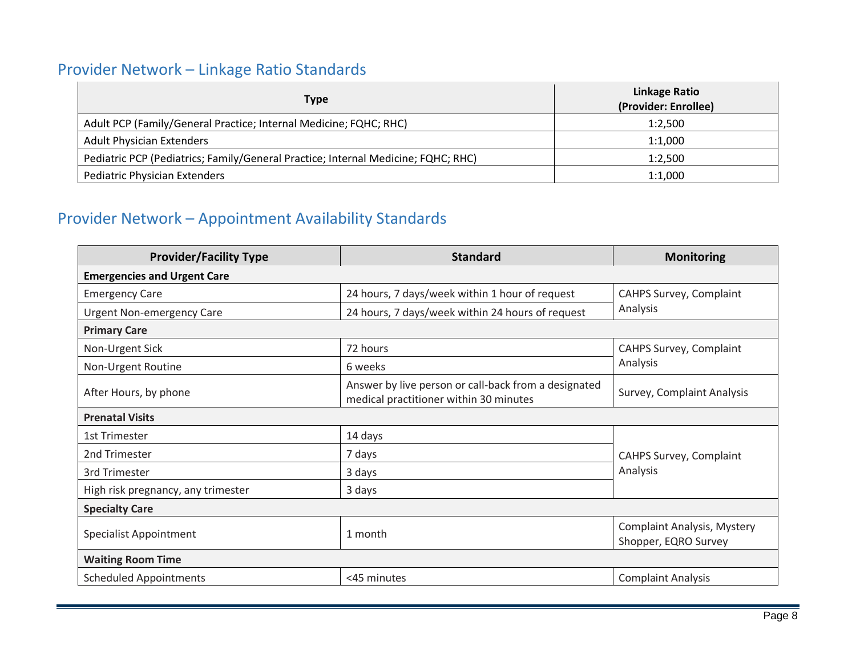#### Provider Network – Linkage Ratio Standards

| <b>Type</b>                                                                       | Linkage Ratio<br>(Provider: Enrollee) |
|-----------------------------------------------------------------------------------|---------------------------------------|
| Adult PCP (Family/General Practice; Internal Medicine; FQHC; RHC)                 | 1:2.500                               |
| <b>Adult Physician Extenders</b>                                                  | 1:1.000                               |
| Pediatric PCP (Pediatrics; Family/General Practice; Internal Medicine; FQHC; RHC) | 1:2,500                               |
| <b>Pediatric Physician Extenders</b>                                              | 1:1.000                               |

#### Provider Network – Appointment Availability Standards

<span id="page-7-1"></span><span id="page-7-0"></span>

| <b>Provider/Facility Type</b>      | <b>Standard</b>                                                                                | <b>Monitoring</b>                                          |  |  |
|------------------------------------|------------------------------------------------------------------------------------------------|------------------------------------------------------------|--|--|
| <b>Emergencies and Urgent Care</b> |                                                                                                |                                                            |  |  |
| <b>Emergency Care</b>              | 24 hours, 7 days/week within 1 hour of request                                                 | CAHPS Survey, Complaint                                    |  |  |
| <b>Urgent Non-emergency Care</b>   | 24 hours, 7 days/week within 24 hours of request                                               | Analysis                                                   |  |  |
| <b>Primary Care</b>                |                                                                                                |                                                            |  |  |
| Non-Urgent Sick                    | 72 hours                                                                                       | CAHPS Survey, Complaint                                    |  |  |
| Non-Urgent Routine                 | 6 weeks                                                                                        | Analysis                                                   |  |  |
| After Hours, by phone              | Answer by live person or call-back from a designated<br>medical practitioner within 30 minutes | Survey, Complaint Analysis                                 |  |  |
| <b>Prenatal Visits</b>             |                                                                                                |                                                            |  |  |
| <b>1st Trimester</b>               | 14 days                                                                                        |                                                            |  |  |
| 2nd Trimester                      | 7 days                                                                                         | CAHPS Survey, Complaint                                    |  |  |
| 3rd Trimester                      | 3 days                                                                                         | Analysis                                                   |  |  |
| High risk pregnancy, any trimester | 3 days                                                                                         |                                                            |  |  |
| <b>Specialty Care</b>              |                                                                                                |                                                            |  |  |
| <b>Specialist Appointment</b>      | 1 month                                                                                        | <b>Complaint Analysis, Mystery</b><br>Shopper, EQRO Survey |  |  |
| <b>Waiting Room Time</b>           |                                                                                                |                                                            |  |  |
| <b>Scheduled Appointments</b>      | <45 minutes                                                                                    | <b>Complaint Analysis</b>                                  |  |  |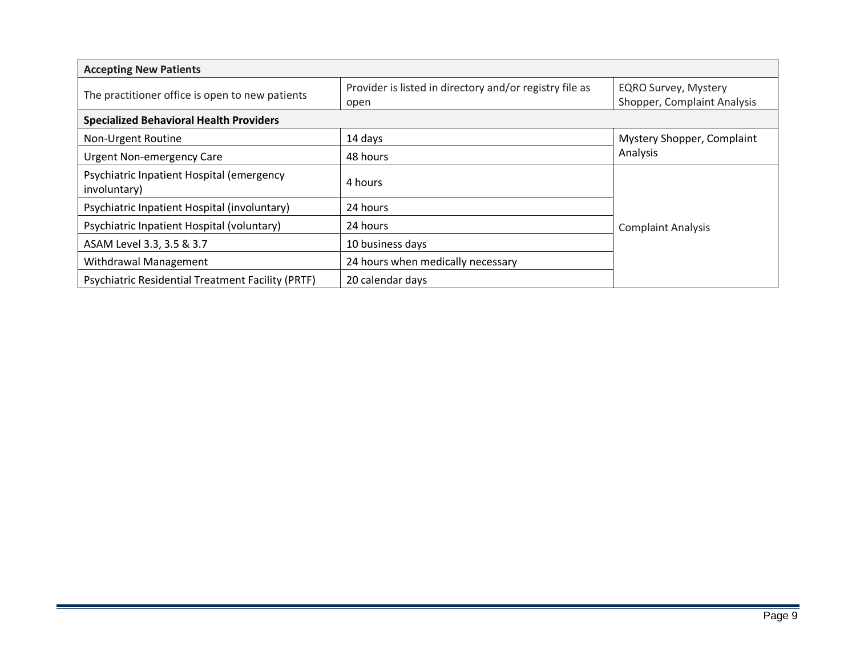| <b>Accepting New Patients</b>                             |                                                                 |                                                            |  |  |
|-----------------------------------------------------------|-----------------------------------------------------------------|------------------------------------------------------------|--|--|
| The practitioner office is open to new patients           | Provider is listed in directory and/or registry file as<br>open | <b>EQRO Survey, Mystery</b><br>Shopper, Complaint Analysis |  |  |
| <b>Specialized Behavioral Health Providers</b>            |                                                                 |                                                            |  |  |
| Non-Urgent Routine                                        | 14 days                                                         | Mystery Shopper, Complaint                                 |  |  |
| <b>Urgent Non-emergency Care</b>                          | 48 hours                                                        | Analysis                                                   |  |  |
| Psychiatric Inpatient Hospital (emergency<br>involuntary) | 4 hours                                                         |                                                            |  |  |
| Psychiatric Inpatient Hospital (involuntary)              | 24 hours                                                        |                                                            |  |  |
| Psychiatric Inpatient Hospital (voluntary)                | 24 hours                                                        | <b>Complaint Analysis</b>                                  |  |  |
| ASAM Level 3.3, 3.5 & 3.7                                 | 10 business days                                                |                                                            |  |  |
| Withdrawal Management                                     | 24 hours when medically necessary                               |                                                            |  |  |
| <b>Psychiatric Residential Treatment Facility (PRTF)</b>  | 20 calendar days                                                |                                                            |  |  |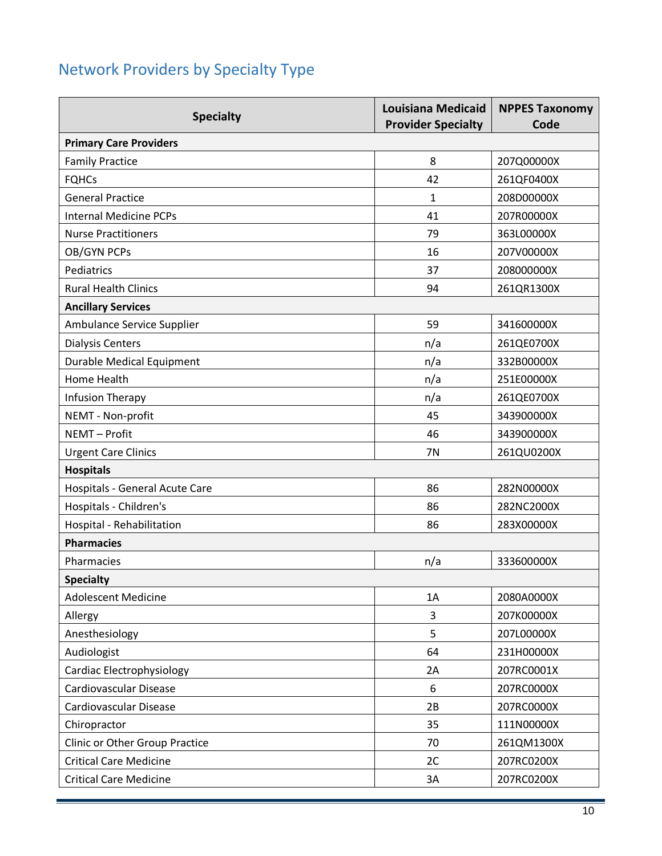# <span id="page-9-0"></span>Network Providers by Specialty Type

| <b>Specialty</b>                 | <b>Louisiana Medicaid</b><br><b>Provider Specialty</b> | <b>NPPES Taxonomy</b><br>Code |
|----------------------------------|--------------------------------------------------------|-------------------------------|
| <b>Primary Care Providers</b>    |                                                        |                               |
| <b>Family Practice</b>           | 8                                                      | 207Q00000X                    |
| <b>FQHCs</b>                     | 42                                                     | 261QF0400X                    |
| <b>General Practice</b>          | 1                                                      | 208D00000X                    |
| <b>Internal Medicine PCPs</b>    | 41                                                     | 207R00000X                    |
| <b>Nurse Practitioners</b>       | 79                                                     | 363L00000X                    |
| OB/GYN PCPs                      | 16                                                     | 207V00000X                    |
| Pediatrics                       | 37                                                     | 208000000X                    |
| <b>Rural Health Clinics</b>      | 94                                                     | 261QR1300X                    |
| <b>Ancillary Services</b>        |                                                        |                               |
| Ambulance Service Supplier       | 59                                                     | 341600000X                    |
| <b>Dialysis Centers</b>          | n/a                                                    | 261QE0700X                    |
| <b>Durable Medical Equipment</b> | n/a                                                    | 332B00000X                    |
| Home Health                      | n/a                                                    | 251E00000X                    |
| Infusion Therapy                 | n/a                                                    | 261QE0700X                    |
| NEMT - Non-profit                | 45                                                     | 343900000X                    |
| NEMT-Profit                      | 46                                                     | 343900000X                    |
| <b>Urgent Care Clinics</b>       | <b>7N</b>                                              | 261QU0200X                    |
| <b>Hospitals</b>                 |                                                        |                               |
| Hospitals - General Acute Care   | 86                                                     | 282N00000X                    |
| Hospitals - Children's           | 86                                                     | 282NC2000X                    |
| Hospital - Rehabilitation        | 86                                                     | 283X00000X                    |
| <b>Pharmacies</b>                |                                                        |                               |
| Pharmacies                       | n/a                                                    | 333600000X                    |
| <b>Specialty</b>                 |                                                        |                               |
| <b>Adolescent Medicine</b>       | 1A                                                     | 2080A0000X                    |
| Allergy                          | 3                                                      | 207K00000X                    |
| Anesthesiology                   | 5                                                      | 207L00000X                    |
| Audiologist                      | 64                                                     | 231H00000X                    |
| Cardiac Electrophysiology        | 2A                                                     | 207RC0001X                    |
| Cardiovascular Disease           | 6                                                      | 207RC0000X                    |
| Cardiovascular Disease           | 2B                                                     | 207RC0000X                    |
| Chiropractor                     | 35                                                     | 111N00000X                    |
| Clinic or Other Group Practice   | 70                                                     | 261QM1300X                    |
| <b>Critical Care Medicine</b>    | 2C                                                     | 207RC0200X                    |
| <b>Critical Care Medicine</b>    | 3A                                                     | 207RC0200X                    |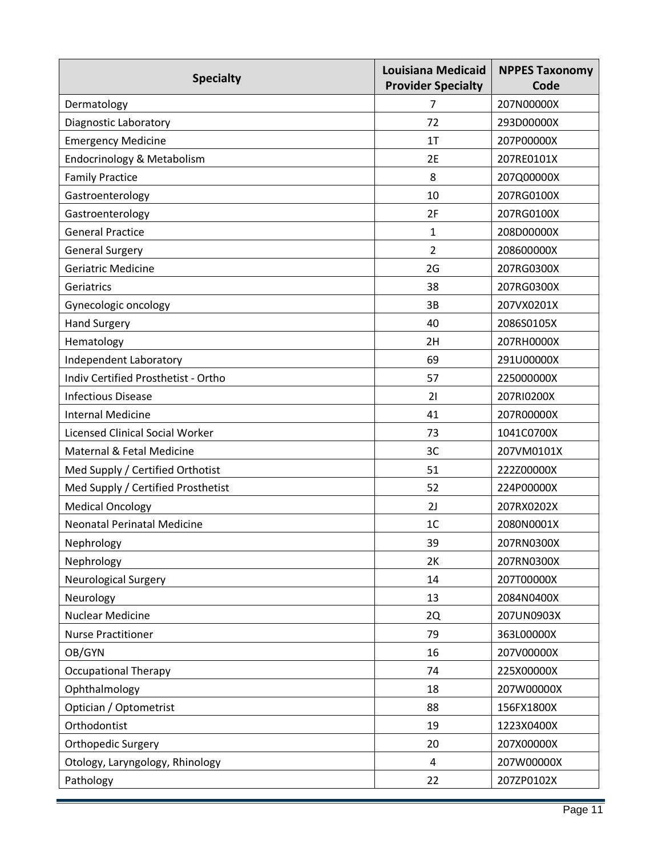| <b>Specialty</b>                       | <b>Louisiana Medicaid</b><br><b>Provider Specialty</b> | <b>NPPES Taxonomy</b><br>Code |
|----------------------------------------|--------------------------------------------------------|-------------------------------|
| Dermatology                            | 7                                                      | 207N00000X                    |
| Diagnostic Laboratory                  | 72                                                     | 293D00000X                    |
| <b>Emergency Medicine</b>              | 1T                                                     | 207P00000X                    |
| Endocrinology & Metabolism             | 2E                                                     | 207RE0101X                    |
| <b>Family Practice</b>                 | 8                                                      | 207Q00000X                    |
| Gastroenterology                       | 10                                                     | 207RG0100X                    |
| Gastroenterology                       | 2F                                                     | 207RG0100X                    |
| <b>General Practice</b>                | 1                                                      | 208D00000X                    |
| <b>General Surgery</b>                 | $\overline{2}$                                         | 208600000X                    |
| <b>Geriatric Medicine</b>              | 2G                                                     | 207RG0300X                    |
| Geriatrics                             | 38                                                     | 207RG0300X                    |
| Gynecologic oncology                   | 3B                                                     | 207VX0201X                    |
| <b>Hand Surgery</b>                    | 40                                                     | 2086S0105X                    |
| Hematology                             | 2H                                                     | 207RH0000X                    |
| Independent Laboratory                 | 69                                                     | 291U00000X                    |
| Indiv Certified Prosthetist - Ortho    | 57                                                     | 225000000X                    |
| <b>Infectious Disease</b>              | 21                                                     | 207RI0200X                    |
| <b>Internal Medicine</b>               | 41                                                     | 207R00000X                    |
| <b>Licensed Clinical Social Worker</b> | 73                                                     | 1041C0700X                    |
| Maternal & Fetal Medicine              | 3C                                                     | 207VM0101X                    |
| Med Supply / Certified Orthotist       | 51                                                     | 222Z00000X                    |
| Med Supply / Certified Prosthetist     | 52                                                     | 224P00000X                    |
| <b>Medical Oncology</b>                | 2J                                                     | 207RX0202X                    |
| <b>Neonatal Perinatal Medicine</b>     | 1 <sub>C</sub>                                         | 2080N0001X                    |
| Nephrology                             | 39                                                     | 207RN0300X                    |
| Nephrology                             | 2K                                                     | 207RN0300X                    |
| <b>Neurological Surgery</b>            | 14                                                     | 207T00000X                    |
| Neurology                              | 13                                                     | 2084N0400X                    |
| <b>Nuclear Medicine</b>                | 2Q                                                     | 207UN0903X                    |
| <b>Nurse Practitioner</b>              | 79                                                     | 363L00000X                    |
| OB/GYN                                 | 16                                                     | 207V00000X                    |
| <b>Occupational Therapy</b>            | 74                                                     | 225X00000X                    |
| Ophthalmology                          | 18                                                     | 207W00000X                    |
| Optician / Optometrist                 | 88                                                     | 156FX1800X                    |
| Orthodontist                           | 19                                                     | 1223X0400X                    |
| Orthopedic Surgery                     | 20                                                     | 207X00000X                    |
| Otology, Laryngology, Rhinology        | 4                                                      | 207W00000X                    |
| Pathology                              | 22                                                     | 207ZP0102X                    |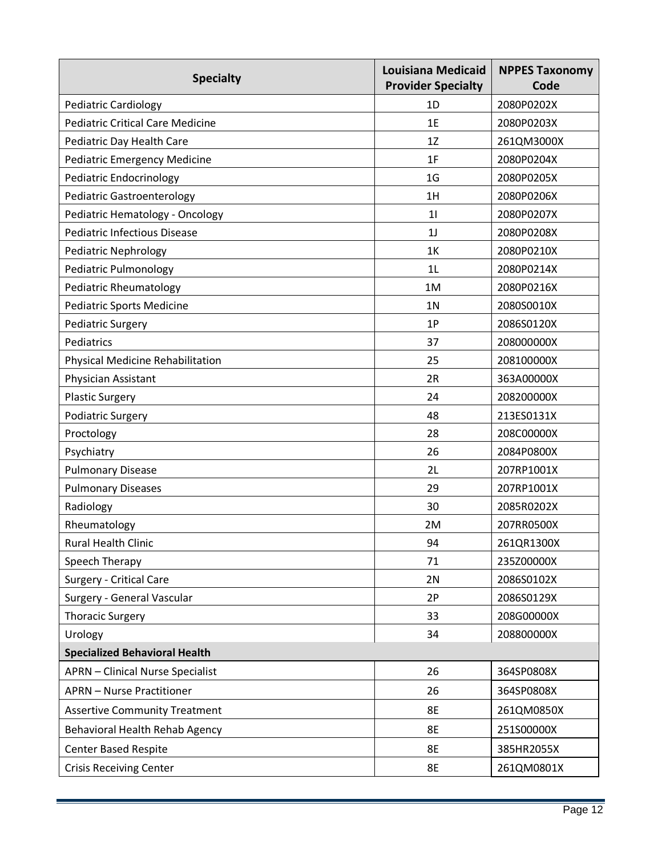| <b>Specialty</b>                        | <b>Louisiana Medicaid</b><br><b>Provider Specialty</b> | <b>NPPES Taxonomy</b><br>Code |
|-----------------------------------------|--------------------------------------------------------|-------------------------------|
| <b>Pediatric Cardiology</b>             | 1D                                                     | 2080P0202X                    |
| <b>Pediatric Critical Care Medicine</b> | 1E                                                     | 2080P0203X                    |
| Pediatric Day Health Care               | 1Z                                                     | 261QM3000X                    |
| <b>Pediatric Emergency Medicine</b>     | 1F                                                     | 2080P0204X                    |
| <b>Pediatric Endocrinology</b>          | 1 <sub>G</sub>                                         | 2080P0205X                    |
| <b>Pediatric Gastroenterology</b>       | 1H                                                     | 2080P0206X                    |
| Pediatric Hematology - Oncology         | 11                                                     | 2080P0207X                    |
| <b>Pediatric Infectious Disease</b>     | 1 <sub>J</sub>                                         | 2080P0208X                    |
| <b>Pediatric Nephrology</b>             | 1K                                                     | 2080P0210X                    |
| Pediatric Pulmonology                   | 1 <sub>L</sub>                                         | 2080P0214X                    |
| <b>Pediatric Rheumatology</b>           | 1M                                                     | 2080P0216X                    |
| <b>Pediatric Sports Medicine</b>        | 1 <sub>N</sub>                                         | 2080S0010X                    |
| <b>Pediatric Surgery</b>                | 1P                                                     | 2086S0120X                    |
| Pediatrics                              | 37                                                     | 208000000X                    |
| Physical Medicine Rehabilitation        | 25                                                     | 208100000X                    |
| Physician Assistant                     | 2R                                                     | 363A00000X                    |
| <b>Plastic Surgery</b>                  | 24                                                     | 208200000X                    |
| <b>Podiatric Surgery</b>                | 48                                                     | 213ES0131X                    |
| Proctology                              | 28                                                     | 208C00000X                    |
| Psychiatry                              | 26                                                     | 2084P0800X                    |
| <b>Pulmonary Disease</b>                | 2L                                                     | 207RP1001X                    |
| <b>Pulmonary Diseases</b>               | 29                                                     | 207RP1001X                    |
| Radiology                               | 30                                                     | 2085R0202X                    |
| Rheumatology                            | 2M                                                     | 207RR0500X                    |
| Rural Health Clinic                     | 94                                                     | 261QR1300X                    |
| Speech Therapy                          | 71                                                     | 235Z00000X                    |
| <b>Surgery - Critical Care</b>          | 2N                                                     | 2086S0102X                    |
| Surgery - General Vascular              | 2P                                                     | 2086S0129X                    |
| <b>Thoracic Surgery</b>                 | 33                                                     | 208G00000X                    |
| Urology                                 | 34                                                     | 208800000X                    |
| <b>Specialized Behavioral Health</b>    |                                                        |                               |
| <b>APRN</b> - Clinical Nurse Specialist | 26                                                     | 364SP0808X                    |
| <b>APRN</b> - Nurse Practitioner        | 26                                                     | 364SP0808X                    |
| <b>Assertive Community Treatment</b>    | 8E                                                     | 261QM0850X                    |
| Behavioral Health Rehab Agency          | <b>8E</b>                                              | 251S00000X                    |
| <b>Center Based Respite</b>             | <b>8E</b>                                              | 385HR2055X                    |
| <b>Crisis Receiving Center</b>          | 8E                                                     | 261QM0801X                    |